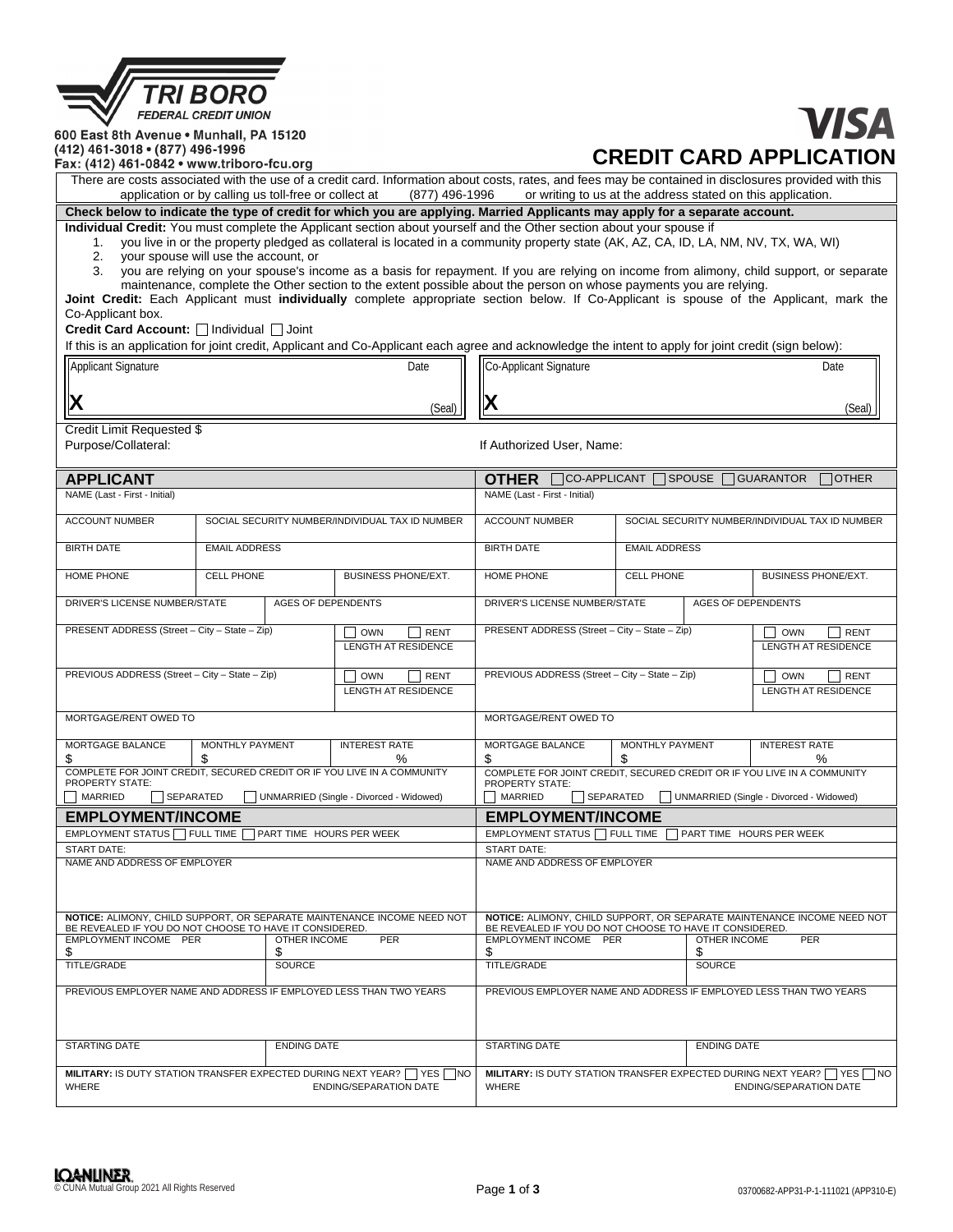| KI BOR                      |
|-----------------------------|
| <b>FEDERAL CREDIT UNION</b> |

600 East 8th Avenue . Munhall, PA 15120 (412) 461-3018 • (877) 496-1996

# **VISA CREDIT CARD APPLICATION**

Fax: (412) 461-0842 • www.triboro-fcu.org

There are costs associated with the use of a credit card. Information about costs, rates, and fees may be contained in disclosures provided with this application or by calling us toll-free or collect at (877) 496-1996 or w or writing to us at the address stated on this application. (877) 496-1996

**Check below to indicate the type of credit for which you are applying. Married Applicants may apply for a separate account.**

**Individual Credit:** You must complete the Applicant section about yourself and the Other section about your spouse if 1. you live in or the property pledged as collateral is located in a community property state (AK, AZ, 1. you live in or the property pledged as collateral is located in a community property state (AK, AZ, CA, ID, LA, NM, NV, TX, WA, WI)<br>2. your spouse will use the account, or

- 
- 2. your spouse will use the account, or<br>3. you are relying on your spouse's inde you are relying on your spouse's income as a basis for repayment. If you are relying on income from alimony, child support, or separate maintenance, complete the Other section to the extent possible about the person on whose payments you are relying.

**Joint Credit:** Each Applicant must **individually** complete appropriate section below. If Co-Applicant is spouse of the Applicant, mark the Co-Applicant box.

Credit Card Account: □Individual □ Joint

|                                                                                                                                    |                                                 |                                         | If this is an application for joint credit, Applicant and Co-Applicant each agree and acknowledge the intent to apply for joint credit (sign below): |                                                    |                                                    |                                                                         |                                             |
|------------------------------------------------------------------------------------------------------------------------------------|-------------------------------------------------|-----------------------------------------|------------------------------------------------------------------------------------------------------------------------------------------------------|----------------------------------------------------|----------------------------------------------------|-------------------------------------------------------------------------|---------------------------------------------|
| Applicant Signature                                                                                                                | Date                                            |                                         | <b>Co-Applicant Signature</b>                                                                                                                        |                                                    |                                                    | Date                                                                    |                                             |
|                                                                                                                                    |                                                 |                                         |                                                                                                                                                      |                                                    |                                                    |                                                                         |                                             |
| (Seal)                                                                                                                             |                                                 |                                         | Х                                                                                                                                                    |                                                    |                                                    | (Seal)                                                                  |                                             |
| Credit Limit Requested \$                                                                                                          |                                                 |                                         |                                                                                                                                                      |                                                    |                                                    |                                                                         |                                             |
| Purpose/Collateral:                                                                                                                |                                                 |                                         |                                                                                                                                                      | If Authorized User, Name:                          |                                                    |                                                                         |                                             |
| <b>APPLICANT</b>                                                                                                                   |                                                 |                                         |                                                                                                                                                      | <b>OTHER</b>                                       | $\Box$ CO-APPLICANT $\Box$ SPOUSE $\Box$ GUARANTOR |                                                                         | $\Box$ Other                                |
| NAME (Last - First - Initial)                                                                                                      |                                                 |                                         |                                                                                                                                                      | NAME (Last - First - Initial)                      |                                                    |                                                                         |                                             |
| <b>ACCOUNT NUMBER</b>                                                                                                              | SOCIAL SECURITY NUMBER/INDIVIDUAL TAX ID NUMBER |                                         | <b>ACCOUNT NUMBER</b>                                                                                                                                | SOCIAL SECURITY NUMBER/INDIVIDUAL TAX ID NUMBER    |                                                    |                                                                         |                                             |
| <b>BIRTH DATE</b>                                                                                                                  | <b>EMAIL ADDRESS</b>                            |                                         |                                                                                                                                                      | <b>BIRTH DATE</b>                                  |                                                    | <b>EMAIL ADDRESS</b>                                                    |                                             |
| HOME PHONE                                                                                                                         | <b>CELL PHONE</b>                               |                                         | <b>BUSINESS PHONE/EXT.</b>                                                                                                                           | HOME PHONE                                         | <b>CELL PHONE</b>                                  |                                                                         | <b>BUSINESS PHONE/EXT.</b>                  |
| DRIVER'S LICENSE NUMBER/STATE                                                                                                      |                                                 | <b>AGES OF DEPENDENTS</b>               |                                                                                                                                                      | DRIVER'S LICENSE NUMBER/STATE                      |                                                    | <b>AGES OF DEPENDENTS</b>                                               |                                             |
| PRESENT ADDRESS (Street - City - State - Zip)                                                                                      |                                                 |                                         | <b>OWN</b><br><b>RENT</b>                                                                                                                            | PRESENT ADDRESS (Street - City - State - Zip)      |                                                    |                                                                         | <b>OWN</b><br><b>RENT</b><br>$\blacksquare$ |
|                                                                                                                                    |                                                 |                                         | <b>LENGTH AT RESIDENCE</b>                                                                                                                           |                                                    |                                                    |                                                                         | <b>LENGTH AT RESIDENCE</b>                  |
| PREVIOUS ADDRESS (Street - City - State - Zip)                                                                                     |                                                 |                                         | OWN<br><b>RENT</b>                                                                                                                                   | PREVIOUS ADDRESS (Street - City - State - Zip)     |                                                    |                                                                         | <b>OWN</b><br><b>RENT</b>                   |
|                                                                                                                                    |                                                 |                                         | <b>LENGTH AT RESIDENCE</b>                                                                                                                           |                                                    |                                                    |                                                                         | <b>LENGTH AT RESIDENCE</b>                  |
| MORTGAGE/RENT OWED TO                                                                                                              |                                                 |                                         | MORTGAGE/RENT OWED TO                                                                                                                                |                                                    |                                                    |                                                                         |                                             |
| MORTGAGE BALANCE                                                                                                                   | MONTHLY PAYMENT                                 |                                         | <b>INTEREST RATE</b>                                                                                                                                 | MORTGAGE BALANCE<br>\$                             | MONTHLY PAYMENT<br>S                               |                                                                         | <b>INTEREST RATE</b><br>℅                   |
| \$<br>S<br>$\%$<br>COMPLETE FOR JOINT CREDIT, SECURED CREDIT OR IF YOU LIVE IN A COMMUNITY                                         |                                                 |                                         | COMPLETE FOR JOINT CREDIT, SECURED CREDIT OR IF YOU LIVE IN A COMMUNITY<br><b>PROPERTY STATE:</b>                                                    |                                                    |                                                    |                                                                         |                                             |
| <b>PROPERTY STATE:</b><br>MARRIED<br>SEPARATED<br>UNMARRIED (Single - Divorced - Widowed)                                          |                                                 |                                         | MARRIED<br>SEPARATED                                                                                                                                 |                                                    |                                                    | UNMARRIED (Single - Divorced - Widowed)                                 |                                             |
| <b>EMPLOYMENT/INCOME</b>                                                                                                           |                                                 |                                         | <b>EMPLOYMENT/INCOME</b>                                                                                                                             |                                                    |                                                    |                                                                         |                                             |
| EMPLOYMENT STATUS FULL TIME<br>PART TIME HOURS PER WEEK                                                                            |                                                 |                                         | EMPLOYMENT STATUS FULL TIME<br>PART TIME HOURS PER WEEK                                                                                              |                                                    |                                                    |                                                                         |                                             |
| <b>START DATE:</b>                                                                                                                 |                                                 |                                         |                                                                                                                                                      | <b>START DATE:</b><br>NAME AND ADDRESS OF EMPLOYER |                                                    |                                                                         |                                             |
| NAME AND ADDRESS OF EMPLOYER                                                                                                       |                                                 |                                         |                                                                                                                                                      |                                                    |                                                    |                                                                         |                                             |
| NOTICE: ALIMONY, CHILD SUPPORT, OR SEPARATE MAINTENANCE INCOME NEED NOT<br>BE REVEALED IF YOU DO NOT CHOOSE TO HAVE IT CONSIDERED. |                                                 |                                         | BE REVEALED IF YOU DO NOT CHOOSE TO HAVE IT CONSIDERED.                                                                                              |                                                    | <b>OTHER INCOME</b>                                | NOTICE: ALIMONY, CHILD SUPPORT, OR SEPARATE MAINTENANCE INCOME NEED NOT |                                             |
| EMPLOYMENT INCOME PER<br>\$                                                                                                        |                                                 | <b>PER</b><br><b>OTHER INCOME</b><br>\$ |                                                                                                                                                      | EMPLOYMENT INCOME PER<br>\$                        | \$                                                 |                                                                         | PER                                         |
| <b>TITLE/GRADE</b>                                                                                                                 |                                                 | <b>SOURCE</b>                           |                                                                                                                                                      | <b>TITLE/GRADE</b>                                 | <b>SOURCE</b>                                      |                                                                         |                                             |
| PREVIOUS EMPLOYER NAME AND ADDRESS IF EMPLOYED LESS THAN TWO YEARS                                                                 |                                                 |                                         | PREVIOUS EMPLOYER NAME AND ADDRESS IF EMPLOYED LESS THAN TWO YEARS                                                                                   |                                                    |                                                    |                                                                         |                                             |
| <b>STARTING DATE</b>                                                                                                               | <b>ENDING DATE</b>                              |                                         | <b>STARTING DATE</b>                                                                                                                                 |                                                    | <b>ENDING DATE</b>                                 |                                                                         |                                             |
| MILITARY: IS DUTY STATION TRANSFER EXPECTED DURING NEXT YEAR? YES<br>∏NO<br><b>WHERE</b><br><b>ENDING/SEPARATION DATE</b>          |                                                 |                                         | MILITARY: IS DUTY STATION TRANSFER EXPECTED DURING NEXT YEAR?<br><b>WHERE</b>                                                                        |                                                    |                                                    | YES NO<br><b>ENDING/SEPARATION DATE</b>                                 |                                             |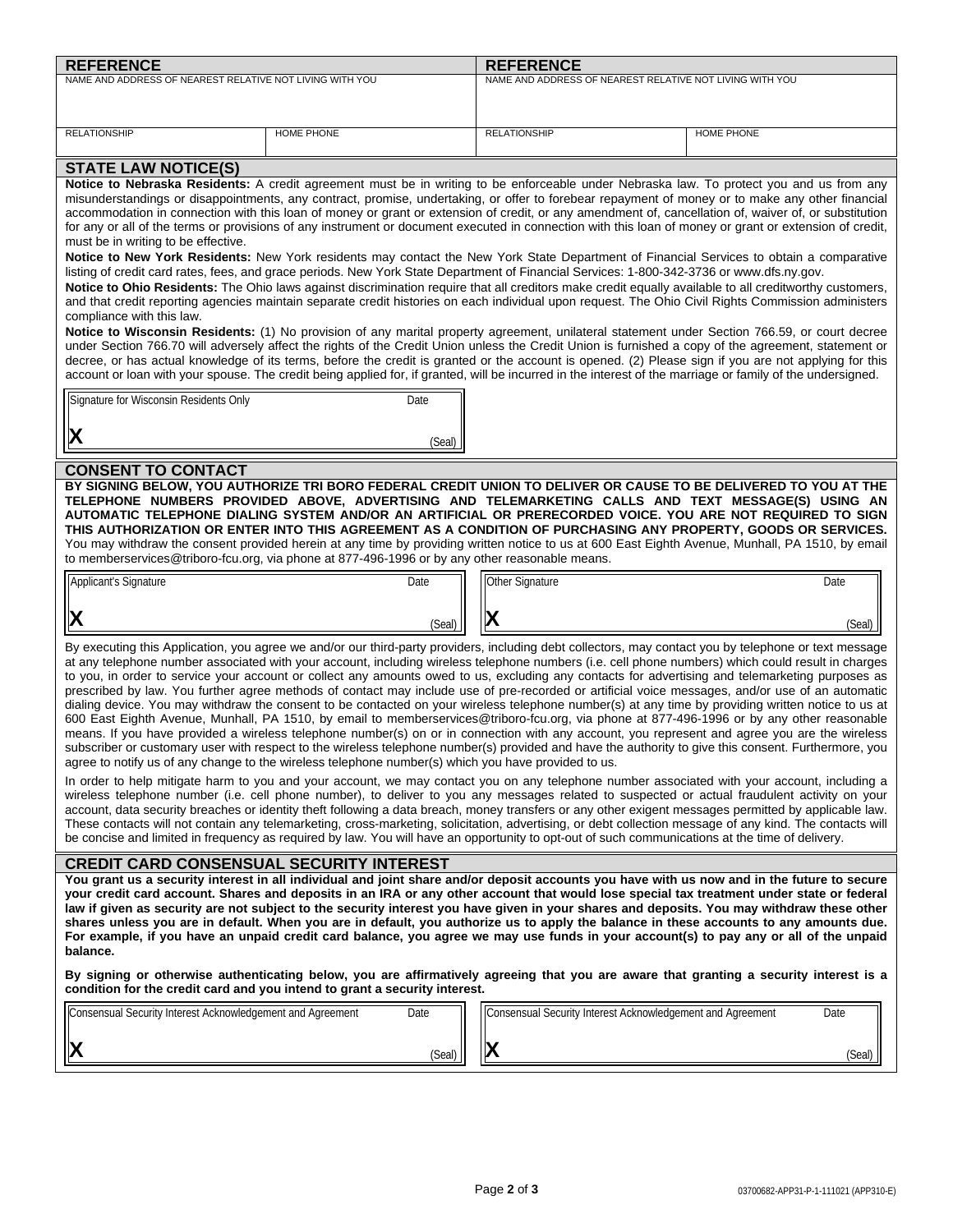| <b>REFERENCE</b>                                                                                                                                                                                                                                                                                            |                                                                                                                                                                                 | <b>REFERENCE</b>    |                                                                                                                                                                                                                                                                                                                     |  |
|-------------------------------------------------------------------------------------------------------------------------------------------------------------------------------------------------------------------------------------------------------------------------------------------------------------|---------------------------------------------------------------------------------------------------------------------------------------------------------------------------------|---------------------|---------------------------------------------------------------------------------------------------------------------------------------------------------------------------------------------------------------------------------------------------------------------------------------------------------------------|--|
| NAME AND ADDRESS OF NEAREST RELATIVE NOT LIVING WITH YOU                                                                                                                                                                                                                                                    |                                                                                                                                                                                 |                     | NAME AND ADDRESS OF NEAREST RELATIVE NOT LIVING WITH YOU                                                                                                                                                                                                                                                            |  |
|                                                                                                                                                                                                                                                                                                             |                                                                                                                                                                                 |                     |                                                                                                                                                                                                                                                                                                                     |  |
| <b>RELATIONSHIP</b>                                                                                                                                                                                                                                                                                         | HOME PHONE                                                                                                                                                                      | <b>RELATIONSHIP</b> | HOME PHONE                                                                                                                                                                                                                                                                                                          |  |
|                                                                                                                                                                                                                                                                                                             |                                                                                                                                                                                 |                     |                                                                                                                                                                                                                                                                                                                     |  |
| <b>STATE LAW NOTICE(S)</b>                                                                                                                                                                                                                                                                                  |                                                                                                                                                                                 |                     |                                                                                                                                                                                                                                                                                                                     |  |
|                                                                                                                                                                                                                                                                                                             |                                                                                                                                                                                 |                     | Notice to Nebraska Residents: A credit agreement must be in writing to be enforceable under Nebraska law. To protect you and us from any<br>misunderstandings or disappointments, any contract, promise, undertaking, or offer to forebear repayment of money or to make any other financial                        |  |
|                                                                                                                                                                                                                                                                                                             |                                                                                                                                                                                 |                     | accommodation in connection with this loan of money or grant or extension of credit, or any amendment of, cancellation of, waiver of, or substitution                                                                                                                                                               |  |
|                                                                                                                                                                                                                                                                                                             |                                                                                                                                                                                 |                     | for any or all of the terms or provisions of any instrument or document executed in connection with this loan of money or grant or extension of credit,                                                                                                                                                             |  |
|                                                                                                                                                                                                                                                                                                             | must be in writing to be effective.<br>Notice to New York Residents: New York residents may contact the New York State Department of Financial Services to obtain a comparative |                     |                                                                                                                                                                                                                                                                                                                     |  |
|                                                                                                                                                                                                                                                                                                             |                                                                                                                                                                                 |                     | listing of credit card rates, fees, and grace periods. New York State Department of Financial Services: 1-800-342-3736 or www.dfs.ny.gov.                                                                                                                                                                           |  |
|                                                                                                                                                                                                                                                                                                             |                                                                                                                                                                                 |                     | Notice to Ohio Residents: The Ohio laws against discrimination require that all creditors make credit equally available to all creditworthy customers,                                                                                                                                                              |  |
| compliance with this law.                                                                                                                                                                                                                                                                                   |                                                                                                                                                                                 |                     | and that credit reporting agencies maintain separate credit histories on each individual upon request. The Ohio Civil Rights Commission administers                                                                                                                                                                 |  |
|                                                                                                                                                                                                                                                                                                             |                                                                                                                                                                                 |                     | Notice to Wisconsin Residents: (1) No provision of any marital property agreement, unilateral statement under Section 766.59, or court decree                                                                                                                                                                       |  |
|                                                                                                                                                                                                                                                                                                             |                                                                                                                                                                                 |                     | under Section 766.70 will adversely affect the rights of the Credit Union unless the Credit Union is furnished a copy of the agreement, statement or                                                                                                                                                                |  |
|                                                                                                                                                                                                                                                                                                             |                                                                                                                                                                                 |                     | decree, or has actual knowledge of its terms, before the credit is granted or the account is opened. (2) Please sign if you are not applying for this<br>account or loan with your spouse. The credit being applied for, if granted, will be incurred in the interest of the marriage or family of the undersigned. |  |
|                                                                                                                                                                                                                                                                                                             |                                                                                                                                                                                 |                     |                                                                                                                                                                                                                                                                                                                     |  |
| Signature for Wisconsin Residents Only                                                                                                                                                                                                                                                                      | Date                                                                                                                                                                            |                     |                                                                                                                                                                                                                                                                                                                     |  |
| X                                                                                                                                                                                                                                                                                                           |                                                                                                                                                                                 |                     |                                                                                                                                                                                                                                                                                                                     |  |
|                                                                                                                                                                                                                                                                                                             | (Seal)                                                                                                                                                                          |                     |                                                                                                                                                                                                                                                                                                                     |  |
| <b>CONSENT TO CONTACT</b>                                                                                                                                                                                                                                                                                   |                                                                                                                                                                                 |                     |                                                                                                                                                                                                                                                                                                                     |  |
|                                                                                                                                                                                                                                                                                                             |                                                                                                                                                                                 |                     | BY SIGNING BELOW, YOU AUTHORIZE TRI BORO FEDERAL CREDIT UNION TO DELIVER OR CAUSE TO BE DELIVERED TO YOU AT THE                                                                                                                                                                                                     |  |
|                                                                                                                                                                                                                                                                                                             |                                                                                                                                                                                 |                     | TELEPHONE NUMBERS PROVIDED ABOVE, ADVERTISING AND TELEMARKETING CALLS AND TEXT MESSAGE(S) USING AN<br>AUTOMATIC TELEPHONE DIALING SYSTEM AND/OR AN ARTIFICIAL OR PRERECORDED VOICE. YOU ARE NOT REQUIRED TO SIGN                                                                                                    |  |
|                                                                                                                                                                                                                                                                                                             |                                                                                                                                                                                 |                     | THIS AUTHORIZATION OR ENTER INTO THIS AGREEMENT AS A CONDITION OF PURCHASING ANY PROPERTY, GOODS OR SERVICES.                                                                                                                                                                                                       |  |
|                                                                                                                                                                                                                                                                                                             | to memberservices@triboro-fcu.org, via phone at 877-496-1996 or by any other reasonable means.                                                                                  |                     | You may withdraw the consent provided herein at any time by providing written notice to us at 600 East Eighth Avenue, Munhall, PA 1510, by email                                                                                                                                                                    |  |
|                                                                                                                                                                                                                                                                                                             |                                                                                                                                                                                 |                     |                                                                                                                                                                                                                                                                                                                     |  |
| Applicant's Signature                                                                                                                                                                                                                                                                                       | Date                                                                                                                                                                            | Other Signature     | Date                                                                                                                                                                                                                                                                                                                |  |
| X                                                                                                                                                                                                                                                                                                           |                                                                                                                                                                                 |                     |                                                                                                                                                                                                                                                                                                                     |  |
|                                                                                                                                                                                                                                                                                                             | (Seal)                                                                                                                                                                          |                     | (Seal)                                                                                                                                                                                                                                                                                                              |  |
|                                                                                                                                                                                                                                                                                                             |                                                                                                                                                                                 |                     | By executing this Application, you agree we and/or our third-party providers, including debt collectors, may contact you by telephone or text message                                                                                                                                                               |  |
|                                                                                                                                                                                                                                                                                                             |                                                                                                                                                                                 |                     | at any telephone number associated with your account, including wireless telephone numbers (i.e. cell phone numbers) which could result in charges<br>to you, in order to service your account or collect any amounts owed to us, excluding any contacts for advertising and telemarketing purposes as              |  |
|                                                                                                                                                                                                                                                                                                             |                                                                                                                                                                                 |                     | prescribed by law. You further agree methods of contact may include use of pre-recorded or artificial voice messages, and/or use of an automatic                                                                                                                                                                    |  |
|                                                                                                                                                                                                                                                                                                             |                                                                                                                                                                                 |                     | dialing device. You may withdraw the consent to be contacted on your wireless telephone number(s) at any time by providing written notice to us at                                                                                                                                                                  |  |
|                                                                                                                                                                                                                                                                                                             |                                                                                                                                                                                 |                     | 600 East Eighth Avenue, Munhall, PA 1510, by email to memberservices@triboro-fcu.org, via phone at 877-496-1996 or by any other reasonable<br>means. If you have provided a wireless telephone number(s) on or in connection with any account, you represent and agree you are the wireless                         |  |
|                                                                                                                                                                                                                                                                                                             |                                                                                                                                                                                 |                     | subscriber or customary user with respect to the wireless telephone number(s) provided and have the authority to give this consent. Furthermore, you                                                                                                                                                                |  |
|                                                                                                                                                                                                                                                                                                             | agree to notify us of any change to the wireless telephone number(s) which you have provided to us.                                                                             |                     |                                                                                                                                                                                                                                                                                                                     |  |
|                                                                                                                                                                                                                                                                                                             |                                                                                                                                                                                 |                     | In order to help mitigate harm to you and your account, we may contact you on any telephone number associated with your account, including a<br>wireless telephone number (i.e. cell phone number), to deliver to you any messages related to suspected or actual fraudulent activity on your                       |  |
|                                                                                                                                                                                                                                                                                                             |                                                                                                                                                                                 |                     | account, data security breaches or identity theft following a data breach, money transfers or any other exigent messages permitted by applicable law.                                                                                                                                                               |  |
| These contacts will not contain any telemarketing, cross-marketing, solicitation, advertising, or debt collection message of any kind. The contacts will<br>be concise and limited in frequency as required by law. You will have an opportunity to opt-out of such communications at the time of delivery. |                                                                                                                                                                                 |                     |                                                                                                                                                                                                                                                                                                                     |  |
|                                                                                                                                                                                                                                                                                                             |                                                                                                                                                                                 |                     |                                                                                                                                                                                                                                                                                                                     |  |
| <b>CREDIT CARD CONSENSUAL SECURITY INTEREST</b>                                                                                                                                                                                                                                                             |                                                                                                                                                                                 |                     | You grant us a security interest in all individual and joint share and/or deposit accounts you have with us now and in the future to secure                                                                                                                                                                         |  |
|                                                                                                                                                                                                                                                                                                             |                                                                                                                                                                                 |                     | your credit card account. Shares and deposits in an IRA or any other account that would lose special tax treatment under state or federal                                                                                                                                                                           |  |
| law if given as security are not subject to the security interest you have given in your shares and deposits. You may withdraw these other                                                                                                                                                                  |                                                                                                                                                                                 |                     |                                                                                                                                                                                                                                                                                                                     |  |
| shares unless you are in default. When you are in default, you authorize us to apply the balance in these accounts to any amounts due.<br>For example, if you have an unpaid credit card balance, you agree we may use funds in your account(s) to pay any or all of the unpaid                             |                                                                                                                                                                                 |                     |                                                                                                                                                                                                                                                                                                                     |  |
| balance.                                                                                                                                                                                                                                                                                                    |                                                                                                                                                                                 |                     |                                                                                                                                                                                                                                                                                                                     |  |
| By signing or otherwise authenticating below, you are affirmatively agreeing that you are aware that granting a security interest is a                                                                                                                                                                      |                                                                                                                                                                                 |                     |                                                                                                                                                                                                                                                                                                                     |  |
|                                                                                                                                                                                                                                                                                                             | condition for the credit card and you intend to grant a security interest.                                                                                                      |                     |                                                                                                                                                                                                                                                                                                                     |  |
| Consensual Security Interest Acknowledgement and Agreement                                                                                                                                                                                                                                                  | Date                                                                                                                                                                            |                     | Consensual Security Interest Acknowledgement and Agreement<br>Date                                                                                                                                                                                                                                                  |  |
|                                                                                                                                                                                                                                                                                                             | (Seal)                                                                                                                                                                          | $\mathbf X$         | (Seal)                                                                                                                                                                                                                                                                                                              |  |
|                                                                                                                                                                                                                                                                                                             |                                                                                                                                                                                 |                     |                                                                                                                                                                                                                                                                                                                     |  |
|                                                                                                                                                                                                                                                                                                             |                                                                                                                                                                                 |                     |                                                                                                                                                                                                                                                                                                                     |  |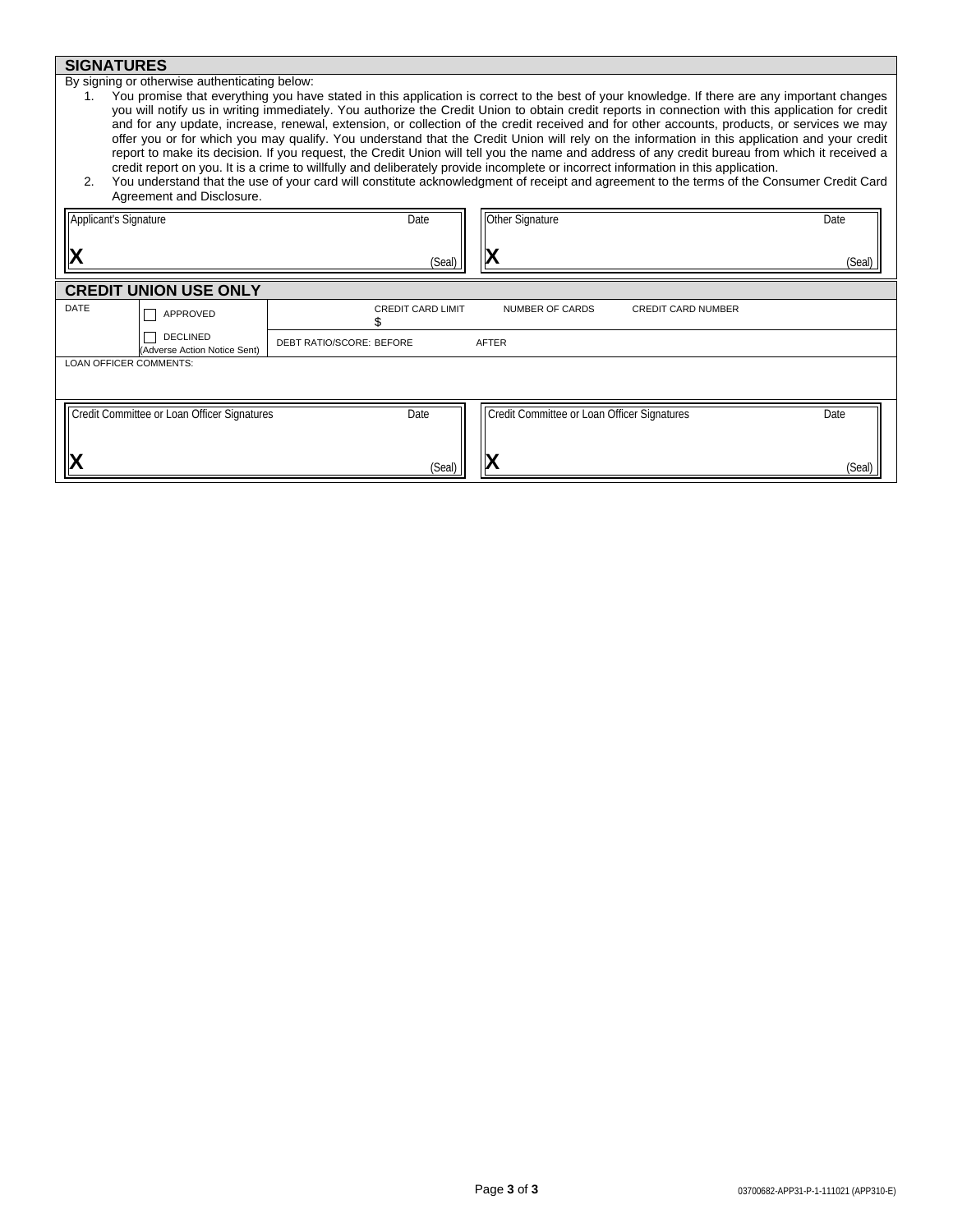## **SIGNATURES**

By signing or otherwise authenticating below:

- 1. You promise that everything you have stated in this application is correct to the best of your knowledge. If there are any important changes you will notify us in writing immediately. You authorize the Credit Union to obtain credit reports in connection with this application for credit and for any update, increase, renewal, extension, or collection of the credit received and for other accounts, products, or services we may offer you or for which you may qualify. You understand that the Credit Union will rely on the information in this application and your credit report to make its decision. If you request, the Credit Union will tell you the name and address of any credit bureau from which it received a credit report on you. It is a crime to willfully and deliberately provide incomplete or incorrect information in this application.
- 2. You understand that the use of your card will constitute acknowledgment of receipt and agreement to the terms of the Consumer Credit Card Agreement and Disclosure.

| Applicant's Signature<br> X |                                                 | Date<br>(Seal)           | Other Signature<br>IX                       |                           | Date<br>(Seal) |
|-----------------------------|-------------------------------------------------|--------------------------|---------------------------------------------|---------------------------|----------------|
|                             | <b>CREDIT UNION USE ONLY</b>                    |                          |                                             |                           |                |
| DATE                        | APPROVED                                        | <b>CREDIT CARD LIMIT</b> | NUMBER OF CARDS                             | <b>CREDIT CARD NUMBER</b> |                |
|                             | <b>DECLINED</b><br>(Adverse Action Notice Sent) | DEBT RATIO/SCORE: BEFORE | <b>AFTER</b>                                |                           |                |
| LOAN OFFICER COMMENTS:      |                                                 |                          |                                             |                           |                |
|                             | Credit Committee or Loan Officer Signatures     | Date                     | Credit Committee or Loan Officer Signatures |                           | Date           |
|                             |                                                 | (Seal)                   |                                             |                           | (Seal)         |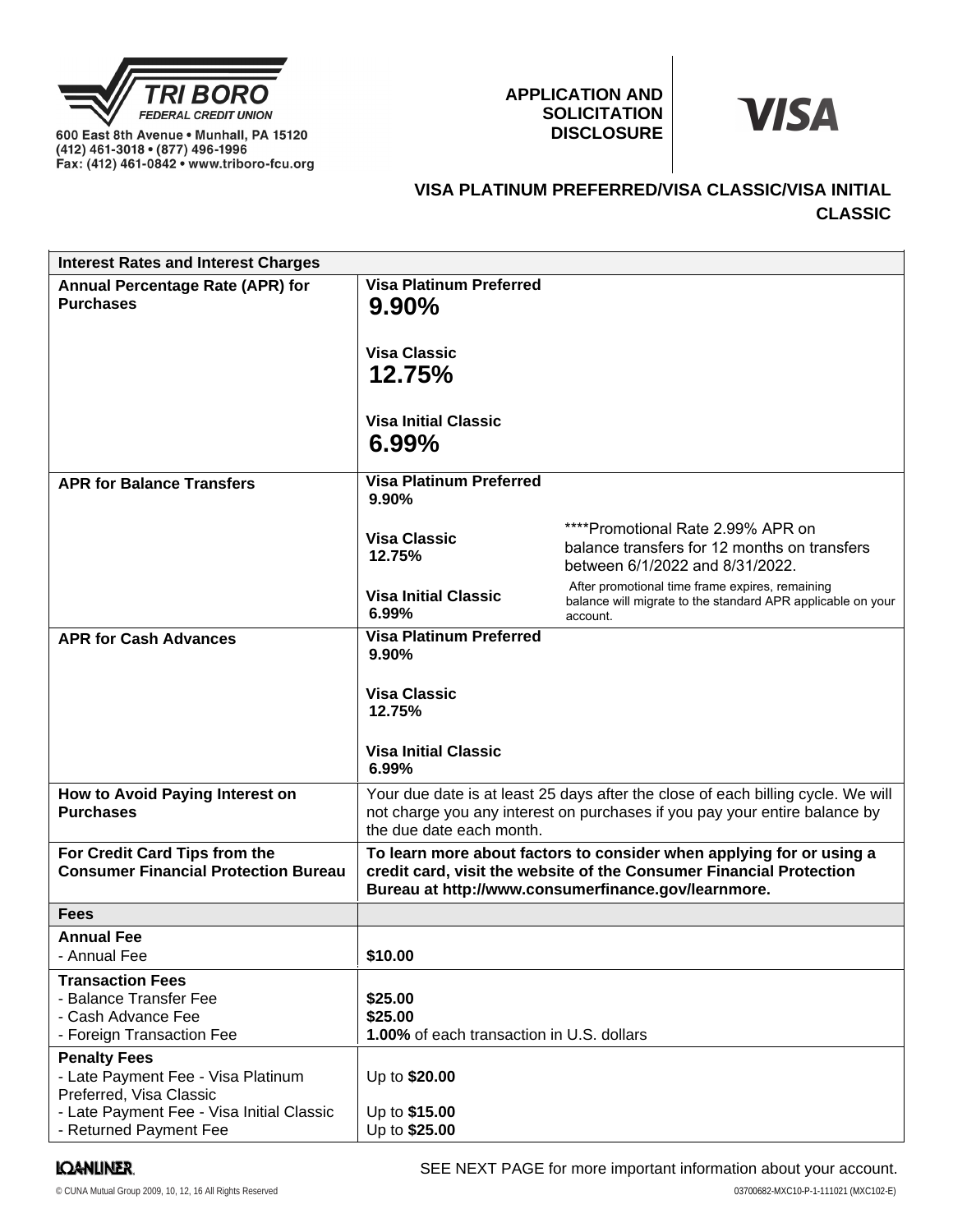

600 East 8th Avenue . Munhall, PA 15120 (412) 461-3018 • (877) 496-1996<br>Fax: (412) 461-3018 • (877) 496-1996

## **APPLICATION AND SOLICITATION DISCLOSURE**



# **VISA PLATINUM PREFERRED/VISA CLASSIC/VISA INITIAL CLASSIC**

| <b>Interest Rates and Interest Charges</b>                                                                                                                  |                                                                                                                                                                                                    |                                                                                                                            |  |
|-------------------------------------------------------------------------------------------------------------------------------------------------------------|----------------------------------------------------------------------------------------------------------------------------------------------------------------------------------------------------|----------------------------------------------------------------------------------------------------------------------------|--|
| Annual Percentage Rate (APR) for<br><b>Purchases</b>                                                                                                        | <b>Visa Platinum Preferred</b><br>$9.90\%$                                                                                                                                                         |                                                                                                                            |  |
|                                                                                                                                                             | <b>Visa Classic</b><br>12.75%                                                                                                                                                                      |                                                                                                                            |  |
|                                                                                                                                                             | <b>Visa Initial Classic</b><br>$6.99\%$                                                                                                                                                            |                                                                                                                            |  |
| <b>APR for Balance Transfers</b>                                                                                                                            | <b>Visa Platinum Preferred</b><br>9.90%                                                                                                                                                            |                                                                                                                            |  |
|                                                                                                                                                             | <b>Visa Classic</b><br>12.75%                                                                                                                                                                      | ****Promotional Rate 2.99% APR on<br>balance transfers for 12 months on transfers<br>between 6/1/2022 and 8/31/2022.       |  |
|                                                                                                                                                             | <b>Visa Initial Classic</b><br>6.99%                                                                                                                                                               | After promotional time frame expires, remaining<br>balance will migrate to the standard APR applicable on your<br>account. |  |
| <b>APR for Cash Advances</b>                                                                                                                                | <b>Visa Platinum Preferred</b><br>9.90%                                                                                                                                                            |                                                                                                                            |  |
|                                                                                                                                                             | <b>Visa Classic</b><br>12.75%                                                                                                                                                                      |                                                                                                                            |  |
|                                                                                                                                                             | <b>Visa Initial Classic</b><br>6.99%                                                                                                                                                               |                                                                                                                            |  |
| How to Avoid Paying Interest on<br><b>Purchases</b>                                                                                                         | Your due date is at least 25 days after the close of each billing cycle. We will<br>not charge you any interest on purchases if you pay your entire balance by<br>the due date each month.         |                                                                                                                            |  |
| For Credit Card Tips from the<br><b>Consumer Financial Protection Bureau</b>                                                                                | To learn more about factors to consider when applying for or using a<br>credit card, visit the website of the Consumer Financial Protection<br>Bureau at http://www.consumerfinance.gov/learnmore. |                                                                                                                            |  |
| <b>Fees</b>                                                                                                                                                 |                                                                                                                                                                                                    |                                                                                                                            |  |
| <b>Annual Fee</b><br>- Annual Fee                                                                                                                           | \$10.00                                                                                                                                                                                            |                                                                                                                            |  |
| <b>Transaction Fees</b><br>- Balance Transfer Fee<br>- Cash Advance Fee<br>- Foreign Transaction Fee                                                        | \$25.00<br>\$25.00<br>1.00% of each transaction in U.S. dollars                                                                                                                                    |                                                                                                                            |  |
| <b>Penalty Fees</b><br>- Late Payment Fee - Visa Platinum<br>Preferred, Visa Classic<br>- Late Payment Fee - Visa Initial Classic<br>- Returned Payment Fee | Up to \$20.00<br>Up to \$15.00<br>Up to \$25.00                                                                                                                                                    |                                                                                                                            |  |

## **IQANLINER**